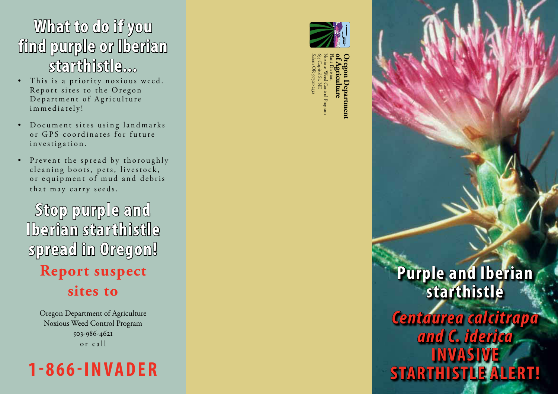## **What to do if you find purple or Iberian starthistle...**

- This is a priority noxious weed. Report sites to the Oregon Department of Agriculture immediately!
- Document sites using landmarks or GPS coordinates for future investigation.
- Prevent the spread by thoroughly cleaning boots, pets, livestock, or equipment of mud and debris that may carry seeds.

**Stop purple and Iberian starthistle spread in Oregon! Report suspect sites to**

> Oregon Department of Agriculture Noxious Weed Control Program 503-986-4621 or call





 $\sum_{k=1}^{\infty}$  Agriculture  $\mathcal{E}_{\mathbf{2r}}$  Capitol **of Agriculture**<br>Plant Division<br>Noxious Weed Control **Oregon Department**  Division Noxious Weed Control Program 635 Capitol St. NE Salem OR 97301-2532

> **Purple and Iberian starthistle**  *Centaurea calcitrapa and C. iderica* **Invasive starthistle alert!**